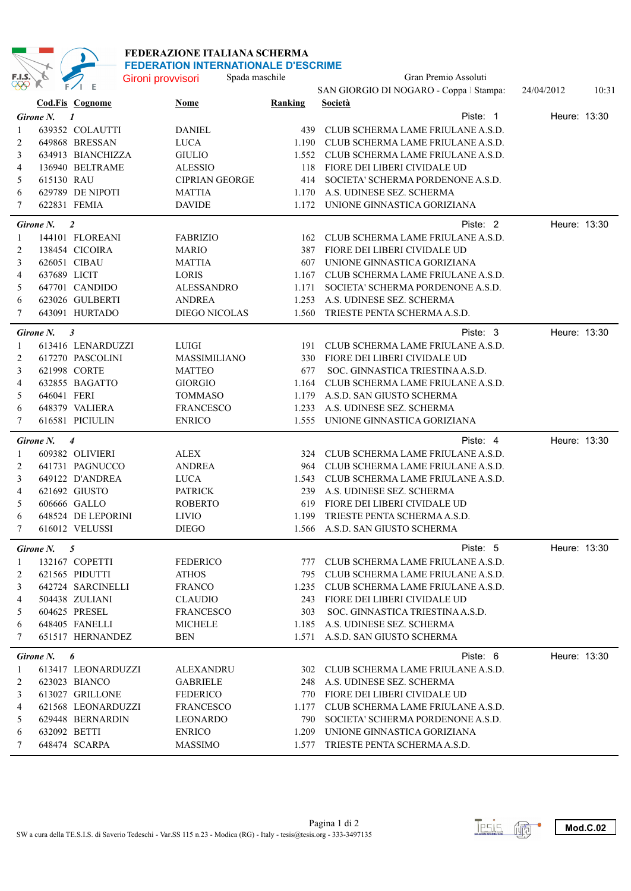

## **FEDERAZIONE ITALIANA SCHERMA FEDERATION INTERNATIONALE D'ESCRIME**

| $\overset{\text{F.I.S.}}{\otimes}$ | D.               | $F/I$ E                          | Gironi provvisori               | Spada maschile | Gran Premio Assoluti                                                    |              |       |
|------------------------------------|------------------|----------------------------------|---------------------------------|----------------|-------------------------------------------------------------------------|--------------|-------|
|                                    |                  |                                  |                                 |                | SAN GIORGIO DI NOGARO - Coppa   Stampa:                                 | 24/04/2012   | 10:31 |
|                                    |                  | <b>Cod.Fis Cognome</b>           | Nome                            | Ranking        | Società                                                                 |              |       |
|                                    | <b>Girone N.</b> | $\boldsymbol{l}$                 |                                 |                | Piste: 1                                                                | Heure: 13:30 |       |
| 1                                  |                  | 639352 COLAUTTI                  | <b>DANIEL</b>                   | 439            | CLUB SCHERMA LAME FRIULANE A.S.D.                                       |              |       |
| 2                                  |                  | 649868 BRESSAN                   | <b>LUCA</b>                     | 1.190          | CLUB SCHERMA LAME FRIULANE A.S.D.                                       |              |       |
| 3                                  |                  | 634913 BIANCHIZZA                | <b>GIULIO</b>                   | 1.552          | CLUB SCHERMA LAME FRIULANE A.S.D.                                       |              |       |
| 4                                  |                  | 136940 BELTRAME                  | <b>ALESSIO</b>                  | 118            | FIORE DEI LIBERI CIVIDALE UD                                            |              |       |
| 5                                  | 615130 RAU       |                                  | <b>CIPRIAN GEORGE</b>           | 414            | SOCIETA' SCHERMA PORDENONE A.S.D.                                       |              |       |
| 6                                  |                  | 629789 DE NIPOTI                 | <b>MATTIA</b>                   | 1.170          | A.S. UDINESE SEZ. SCHERMA                                               |              |       |
| 7                                  |                  | 622831 FEMIA                     | <b>DAVIDE</b>                   | 1.172          | UNIONE GINNASTICA GORIZIANA                                             |              |       |
|                                    | Girone N.        | $\overline{2}$                   |                                 | Piste: 2       | Heure: 13:30                                                            |              |       |
| 1                                  |                  | 144101 FLOREANI                  | <b>FABRIZIO</b>                 | 162            | CLUB SCHERMA LAME FRIULANE A.S.D.                                       |              |       |
| 2                                  |                  | 138454 CICOIRA                   | <b>MARIO</b>                    | 387            | FIORE DEI LIBERI CIVIDALE UD                                            |              |       |
| 3                                  | 626051 CIBAU     |                                  | <b>MATTIA</b>                   | 607            | UNIONE GINNASTICA GORIZIANA                                             |              |       |
| 4                                  | 637689 LICIT     |                                  | <b>LORIS</b>                    | 1.167          | CLUB SCHERMA LAME FRIULANE A.S.D.                                       |              |       |
| 5                                  |                  | 647701 CANDIDO                   | <b>ALESSANDRO</b>               | 1.171          | SOCIETA' SCHERMA PORDENONE A.S.D.                                       |              |       |
| 6                                  |                  | 623026 GULBERTI                  | <b>ANDREA</b>                   | 1.253          | A.S. UDINESE SEZ. SCHERMA                                               |              |       |
| 7                                  |                  | 643091 HURTADO                   | <b>DIEGO NICOLAS</b>            | 1.560          | TRIESTE PENTA SCHERMA A.S.D.                                            |              |       |
|                                    | Girone N.        | $\mathfrak{z}$                   |                                 |                | Piste: 3                                                                | Heure: 13:30 |       |
| 1                                  |                  | 613416 LENARDUZZI                | LUIGI                           | 191            | CLUB SCHERMA LAME FRIULANE A.S.D.                                       |              |       |
| 2                                  |                  | 617270 PASCOLINI                 | <b>MASSIMILIANO</b>             | 330            | FIORE DEI LIBERI CIVIDALE UD                                            |              |       |
| 3                                  |                  | 621998 CORTE                     | <b>MATTEO</b>                   | 677            | SOC. GINNASTICA TRIESTINA A.S.D.                                        |              |       |
| 4                                  |                  | 632855 BAGATTO                   | <b>GIORGIO</b>                  | 1.164          | CLUB SCHERMA LAME FRIULANE A.S.D.                                       |              |       |
| 5                                  | 646041 FERI      |                                  | <b>TOMMASO</b>                  | 1.179          | A.S.D. SAN GIUSTO SCHERMA                                               |              |       |
| 6                                  |                  | 648379 VALIERA                   | <b>FRANCESCO</b>                | 1.233          | A.S. UDINESE SEZ. SCHERMA                                               |              |       |
| 7                                  |                  | 616581 PICIULIN                  | <b>ENRICO</b>                   | 1.555          | UNIONE GINNASTICA GORIZIANA                                             |              |       |
|                                    | Girone N.        | $\overline{4}$                   |                                 |                | Piste: 4                                                                | Heure: 13:30 |       |
| 1                                  |                  | 609382 OLIVIERI                  | <b>ALEX</b>                     | 324            | CLUB SCHERMA LAME FRIULANE A.S.D.                                       |              |       |
| 2                                  |                  | 641731 PAGNUCCO                  | <b>ANDREA</b>                   | 964            | CLUB SCHERMA LAME FRIULANE A.S.D.                                       |              |       |
| 3                                  |                  | 649122 D'ANDREA                  | <b>LUCA</b>                     | 1.543          | CLUB SCHERMA LAME FRIULANE A.S.D.                                       |              |       |
| 4                                  |                  | 621692 GIUSTO                    | <b>PATRICK</b>                  | 239            | A.S. UDINESE SEZ. SCHERMA                                               |              |       |
| 5                                  |                  | 606666 GALLO                     | <b>ROBERTO</b>                  | 619            | FIORE DEI LIBERI CIVIDALE UD                                            |              |       |
| 6                                  |                  | 648524 DE LEPORINI               | <b>LIVIO</b>                    | 1.199          | TRIESTE PENTA SCHERMA A.S.D.                                            |              |       |
| 7                                  |                  | 616012 VELUSSI                   | <b>DIEGO</b>                    | 1.566          | A.S.D. SAN GIUSTO SCHERMA                                               |              |       |
|                                    | Girone N. 5      |                                  |                                 |                | Piste: 5                                                                | Heure: 13:30 |       |
|                                    |                  |                                  |                                 |                | 777 CLUB SCHERMA LAME FRIULANE A.S.D.                                   |              |       |
| 1<br>2                             |                  | 132167 COPETTI<br>621565 PIDUTTI | <b>FEDERICO</b><br><b>ATHOS</b> |                | 795 CLUB SCHERMA LAME FRIULANE A.S.D.                                   |              |       |
| 3                                  |                  | 642724 SARCINELLI                | <b>FRANCO</b>                   |                | 1.235 CLUB SCHERMA LAME FRIULANE A.S.D.                                 |              |       |
| 4                                  |                  | 504438 ZULIANI                   | <b>CLAUDIO</b>                  |                | 243 FIORE DEI LIBERI CIVIDALE UD                                        |              |       |
| 5                                  |                  | 604625 PRESEL                    | <b>FRANCESCO</b>                | 303            | SOC. GINNASTICA TRIESTINA A.S.D.                                        |              |       |
| 6                                  |                  | 648405 FANELLI                   | <b>MICHELE</b>                  |                | 1.185 A.S. UDINESE SEZ. SCHERMA                                         |              |       |
| 7                                  |                  | 651517 HERNANDEZ                 | BEN                             |                | 1.571 A.S.D. SAN GIUSTO SCHERMA                                         |              |       |
|                                    |                  |                                  |                                 |                |                                                                         |              |       |
|                                    | Girone N.        | 6                                |                                 |                | Piste: 6                                                                | Heure: 13:30 |       |
| 1                                  |                  | 613417 LEONARDUZZI               | <b>ALEXANDRU</b>                |                | 302 CLUB SCHERMA LAME FRIULANE A.S.D.                                   |              |       |
| 2                                  |                  | 623023 BIANCO                    | <b>GABRIELE</b>                 |                | 248 A.S. UDINESE SEZ. SCHERMA                                           |              |       |
| 3                                  |                  | 613027 GRILLONE                  | <b>FEDERICO</b>                 |                | 770 FIORE DEI LIBERI CIVIDALE UD                                        |              |       |
| 4                                  |                  | 621568 LEONARDUZZI               | FRANCESCO                       |                | 1.177 CLUB SCHERMA LAME FRIULANE A.S.D.                                 |              |       |
| 5                                  |                  | 629448 BERNARDIN                 | LEONARDO                        |                | 790 SOCIETA' SCHERMA PORDENONE A.S.D.                                   |              |       |
| 6<br>7                             | 632092 BETTI     | 648474 SCARPA                    | <b>ENRICO</b><br><b>MASSIMO</b> |                | 1.209 UNIONE GINNASTICA GORIZIANA<br>1.577 TRIESTE PENTA SCHERMA A.S.D. |              |       |
|                                    |                  |                                  |                                 |                |                                                                         |              |       |